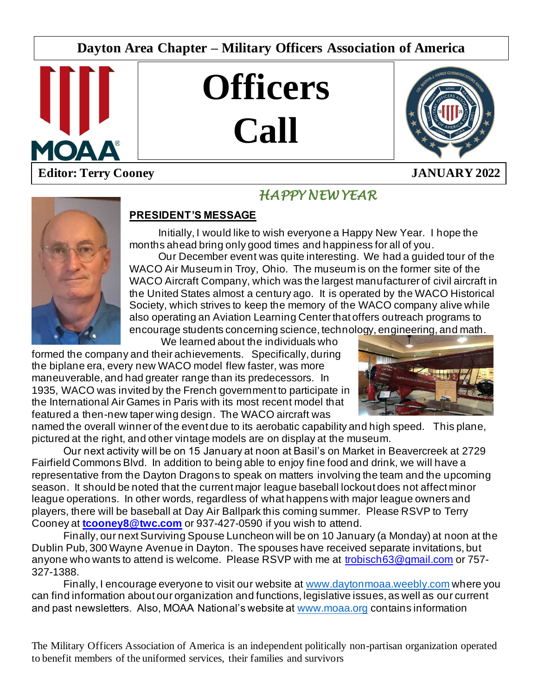# **Dayton Area Chapter – Military Officers Association of America**



# **Officers Call**



# **Editor: Terry Cooney JANUARY 2022**



# *HAPPY NEW YEAR*

 $\overline{\phantom{a}}$ 

## **PRESIDENT'S MESSAGE**

Initially, I would like to wish everyone a Happy New Year. I hope the months ahead bring only good times and happiness for all of you.

Our December event was quite interesting. We had a guided tour of the WACO Air Museum in Troy, Ohio. The museum is on the former site of the WACO Aircraft Company, which was the largest manufacturer of civil aircraft in the United States almost a century ago. It is operated by the WACO Historical Society, which strives to keep the memory of the WACO company alive while also operating an Aviation Learning Center that offers outreach programs to encourage students concerning science, technology, engineering, and math.

We learned about the individuals who formed the company and their achievements. Specifically, during the biplane era, every new WACO model flew faster, was more maneuverable, and had greater range than its predecessors. In 1935, WACO was invited by the French government to participate in the International Air Games in Paris with its most recent model that featured a then-new taper wing design. The WACO aircraft was



named the overall winner of the event due to its aerobatic capability and high speed. This plane, pictured at the right, and other vintage models are on display at the museum.

Our next activity will be on 15 January at noon at Basil's on Market in Beavercreek at 2729 Fairfield Commons Blvd. In addition to being able to enjoy fine food and drink, we will have a representative from the Dayton Dragons to speak on matters involving the team and the upcoming season. It should be noted that the current major league baseball lockout does not affect minor league operations. In other words, regardless of what happens with major league owners and players, there will be baseball at Day Air Ballpark this coming summer. Please RSVP to Terry Cooney at **[tcooney8@twc.com](mailto:tcooney8@twc.com)** or 937-427-0590 if you wish to attend.

Finally, our next Surviving Spouse Luncheon will be on 10 January (a Monday) at noon at the Dublin Pub, 300 Wayne Avenue in Dayton. The spouses have received separate invitations, but anyone who wants to attend is welcome. Please RSVP with me at [trobisch63@gmail.com](mailto:trobisch63@gmail.com) or 757- 327-1388.

Finally, I encourage everyone to visit our website at [www.daytonmoaa.weebly.com](http://www.daytonmoaa.weebly.com/) where you can find information about our organization and functions, legislative issues, as well as our current and past newsletters. Also, MOAA National's website at [www.moaa.org](http://www.moaa.org/) contains information

The Military Officers Association of America is an independent politically non-partisan organization operated to benefit members of the uniformed services, their families and survivors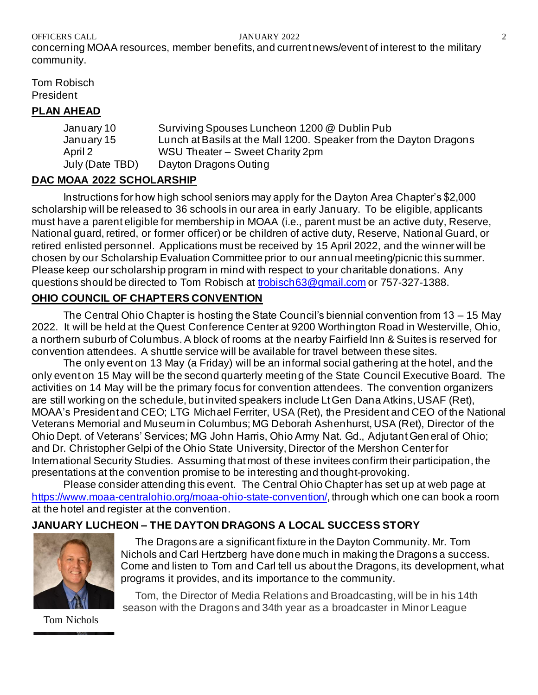OFFICERS CALL **SECURE 2** JANUARY 2022 2

concerning MOAA resources, member benefits, and current news/event of interest to the military community.

Tom Robisch President

### **PLAN AHEAD**

January 10 Surviving Spouses Luncheon 1200 @ Dublin Pub January 15 Lunch at Basils at the Mall 1200. Speaker from the Dayton Dragons April 2 WSU Theater – Sweet Charity 2pm July (Date TBD) Dayton Dragons Outing

## **DAC MOAA 2022 SCHOLARSHIP**

Instructions for how high school seniors may apply for the Dayton Area Chapter's \$2,000 scholarship will be released to 36 schools in our area in early January. To be eligible, applicants must have a parent eligible for membership in MOAA (i.e., parent must be an active duty, Reserve, National guard, retired, or former officer) or be children of active duty, Reserve, National Guard, or retired enlisted personnel. Applications must be received by 15 April 2022, and the winner will be chosen by our Scholarship Evaluation Committee prior to our annual meeting/picnic this summer. Please keep our scholarship program in mind with respect to your charitable donations. Any questions should be directed to Tom Robisch at [trobisch63@gmail.com](mailto:trobisch63@gmail.com) or 757-327-1388.

## **OHIO COUNCIL OF CHAPTERS CONVENTION**

The Central Ohio Chapter is hosting the State Council's biennial convention from 13 – 15 May 2022. It will be held at the Quest Conference Center at 9200 Worthington Road in Westerville, Ohio, a northern suburb of Columbus. A block of rooms at the nearby Fairfield Inn & Suites is reserved for convention attendees. A shuttle service will be available for travel between these sites.

The only event on 13 May (a Friday) will be an informal social gathering at the hotel, and the only event on 15 May will be the second quarterly meeting of the State Council Executive Board. The activities on 14 May will be the primary focus for convention attendees. The convention organizers are still working on the schedule, but invited speakers include Lt Gen Dana Atkins, USAF (Ret), MOAA's President and CEO; LTG Michael Ferriter, USA (Ret), the President and CEO of the National Veterans Memorial and Museum in Columbus; MG Deborah Ashenhurst, USA (Ret), Director of the Ohio Dept. of Veterans' Services; MG John Harris, Ohio Army Nat. Gd., Adjutant Gen eral of Ohio; and Dr. Christopher Gelpi of the Ohio State University, Director of the Mershon Center for International Security Studies. Assuming that most of these invitees confirm their participation, the presentations at the convention promise to be interesting and thought-provoking.

Please consider attending this event. The Central Ohio Chapter has set up at web page at <https://www.moaa-centralohio.org/moaa-ohio-state-convention/>, through which one can book a room at the hotel and register at the convention.

# **JANUARY LUCHEON – THE DAYTON DRAGONS A LOCAL SUCCESS STORY**



The Dragons are a significant fixture in the Dayton Community. Mr. Tom Nichols and Carl Hertzberg have done much in making the Dragons a success. Come and listen to Tom and Carl tell us about the Dragons, its development, what programs it provides, and its importance to the community.

 Tom, the Director of Media Relations and Broadcasting, will be in his 14th season with the Dragons and 34th year as a broadcaster in Minor League

Tom Nichols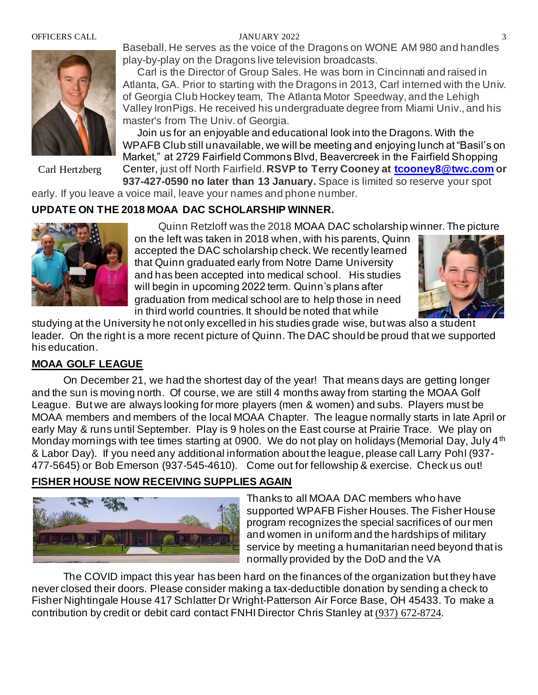### OFFICERS CALL 3



Carl Hertzberg

Baseball. He serves as the voice of the Dragons on WONE AM 980 and handles play-by-play on the Dragons live television broadcasts.

 Carl is the Director of Group Sales. He was born in Cincinnati and raised in Atlanta, GA. Prior to starting with the Dragons in 2013, Carl interned with the Univ. of Georgia Club Hockey team, The Atlanta Motor Speedway, and the Lehigh Valley IronPigs. He received his undergraduate degree from Miami Univ., and his master's from The Univ. of Georgia.

 Join us for an enjoyable and educational look into the Dragons. With the WPAFB Club still unavailable, we will be meeting and enjoying lunch at "Basil's on Market," at 2729 Fairfield Commons Blvd, Beavercreek in the Fairfield Shopping Center, just off North Fairfield. **RSVP to Terry Cooney at [tcooney8@twc.com](mailto:tcooney8@twc.com) or 937-427-0590 no later than 13 January.** Space is limited so reserve your spot

early. If you leave a voice mail, leave your names and phone number.

### **UPDATE ON THE 2018 MOAA DAC SCHOLARSHIP WINNER.**



Quinn Retzloff was the 2018 MOAA DAC scholarship winner. The picture on the left was taken in 2018 when, with his parents, Quinn accepted the DAC scholarship check. We recently learned that Quinn graduated early from Notre Dame University and has been accepted into medical school. His studies will begin in upcoming 2022 term. Quinn's plans after graduation from medical school are to help those in need in third world countries. It should be noted that while



studying at the University he not only excelled in his studies grade wise, but was also a student leader. On the right is a more recent picture of Quinn. The DAC should be proud that we supported his education.

### **MOAA GOLF LEAGUE**

On December 21, we had the shortest day of the year! That means days are getting longer and the sun is moving north. Of course, we are still 4 months away from starting the MOAA Golf League. But we are always looking for more players (men & women) and subs. Players must be MOAA members and members of the local MOAA Chapter. The league normally starts in late April or early May & runs until September. Play is 9 holes on the East course at Prairie Trace. We play on Monday mornings with tee times starting at 0900. We do not play on holidays (Memorial Day, July 4<sup>th</sup>) & Labor Day). If you need any additional information about the league, please call Larry Pohl (937- 477-5645) or Bob Emerson (937-545-4610). Come out for fellowship & exercise. Check us out!

### **FISHER HOUSE NOW RECEIVING SUPPLIES AGAIN**



Thanks to all MOAA DAC members who have supported WPAFB Fisher Houses. The Fisher House program recognizes the special sacrifices of our men and women in uniform and the hardships of military service by meeting a humanitarian need beyond that is normally provided by the DoD and the VA

The COVID impact this year has been hard on the finances of the organization but they have never closed their doors. Please consider making a tax-deductible donation by sending a check to Fisher Nightingale House 417 Schlatter Dr Wright-Patterson Air Force Base, OH 45433. To make a contribution by credit or debit card contact FNHI Director Chris Stanley at [\(937\) 672-8724.](tel:(937)672-8724)